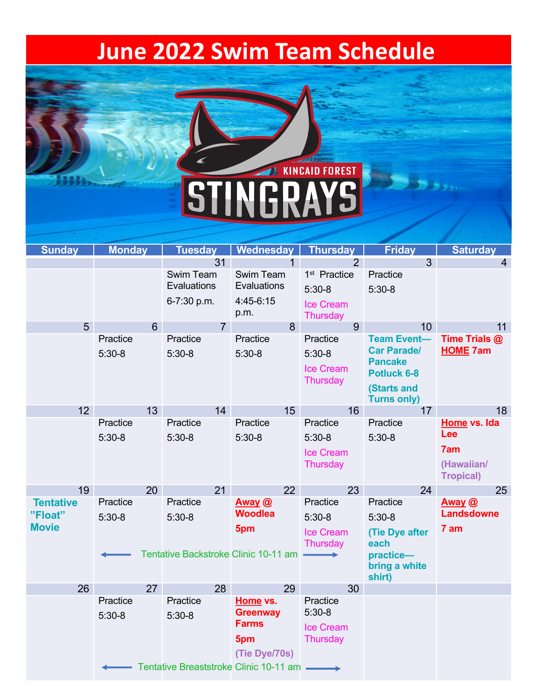## **June 2022 Swim Team Schedule**

## STINGRAYS

| <b>Sunday</b>           | <b>Monday</b> |    | <b>Tuesday</b> |                | Wednesday                                | <b>Thursday</b>          | <b>Friday</b>                            | <b>Saturday</b>                  |
|-------------------------|---------------|----|----------------|----------------|------------------------------------------|--------------------------|------------------------------------------|----------------------------------|
|                         |               |    |                | 31             | $\overline{1}$                           | $\overline{2}$           | $\overline{3}$                           | $\overline{4}$                   |
|                         |               |    | Swim Team      |                | Swim Team                                | 1 <sup>st</sup> Practice | Practice                                 |                                  |
|                         |               |    | Evaluations    |                | Evaluations                              | $5:30-8$                 | $5:30-8$                                 |                                  |
|                         |               |    | 6-7:30 p.m.    |                | 4:45-6:15                                | Ice Cream                |                                          |                                  |
|                         |               |    |                |                | p.m.                                     | <b>Thursday</b>          |                                          |                                  |
| 5                       |               | 6  |                | $\overline{7}$ | 8                                        | 9                        | 10                                       | 11                               |
|                         | Practice      |    | Practice       |                | Practice                                 | Practice                 | <b>Team Event-</b><br><b>Car Parade/</b> | Time Trials @<br><b>HOME 7am</b> |
|                         | $5:30-8$      |    | $5:30-8$       |                | $5:30-8$                                 | $5:30-8$                 | <b>Pancake</b>                           |                                  |
|                         |               |    |                |                |                                          | Ice Cream                | <b>Potluck 6-8</b>                       |                                  |
|                         |               |    |                |                |                                          | Thursday                 | (Starts and                              |                                  |
|                         |               |    |                |                |                                          |                          | <b>Turns only)</b>                       |                                  |
| 12 <sup>°</sup>         |               | 13 |                | 14             | 15                                       | 16                       | 17                                       | 18                               |
|                         | Practice      |    | Practice       |                | Practice                                 | Practice                 | Practice                                 | Home vs. Ida                     |
|                         | $5:30-8$      |    | $5:30-8$       |                | $5:30-8$                                 | $5:30-8$                 | $5:30-8$                                 | Lee                              |
|                         |               |    |                |                |                                          | Ice Cream                |                                          | 7am                              |
|                         |               |    |                |                |                                          | <b>Thursday</b>          |                                          | (Hawaiian/                       |
|                         |               |    |                |                |                                          |                          |                                          | <b>Tropical)</b>                 |
| 19                      |               | 20 |                | 21             | 22                                       | 23                       | 24                                       | 25                               |
| <b>Tentative</b>        | Practice      |    | Practice       |                | Away @<br><b>Woodlea</b>                 | Practice                 | Practice                                 | Away @<br><b>Landsdowne</b>      |
| "Float"<br><b>Movie</b> | $5:30-8$      |    | $5:30-8$       |                |                                          | $5:30-8$                 | $5:30-8$                                 |                                  |
|                         |               |    |                |                | 5pm                                      | Ice Cream                | <b>(Tie Dye after</b>                    | 7 am                             |
|                         |               |    |                |                | Tentative Backstroke Clinic 10-11 am     | Thursday                 | each                                     |                                  |
|                         |               |    |                |                |                                          |                          | practice-<br>bring a white               |                                  |
|                         |               |    |                |                |                                          |                          | shirt)                                   |                                  |
| 26                      |               | 27 |                | 28             | 29                                       | 30                       |                                          |                                  |
|                         | Practice      |    | Practice       |                | Home vs.                                 | Practice                 |                                          |                                  |
|                         | $5:30-8$      |    | $5:30-8$       |                | <b>Greenway</b><br><b>Farms</b>          | $5:30-8$                 |                                          |                                  |
|                         |               |    |                |                |                                          | Ice Cream                |                                          |                                  |
|                         |               |    |                |                | 5pm                                      | <b>Thursday</b>          |                                          |                                  |
|                         |               |    |                |                | (Tie Dye/70s)                            |                          |                                          |                                  |
|                         |               |    |                |                | Tentative Breaststroke Clinic 10-11 am - |                          |                                          |                                  |